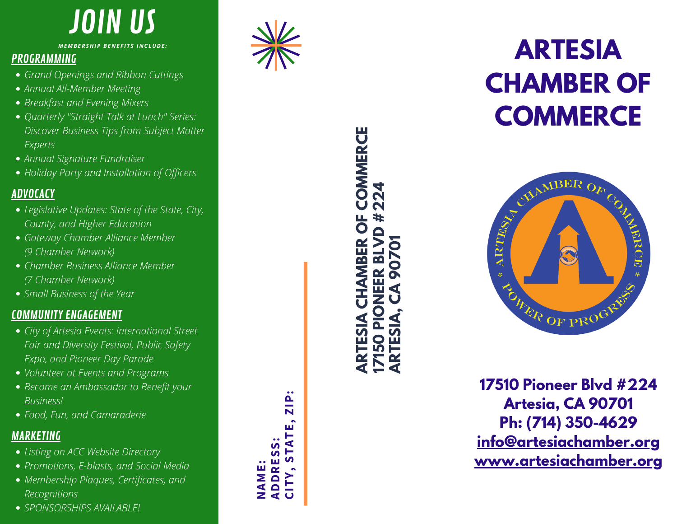## J OIN U S

*MEMBERSHIP BENEFITS INCLUDE:* 

- 
- 
- 
- Grand Openings and Ribbon Cuttings<br>Breakfast and Evening Mixers<br>Breakfast and Evening Mixers<br>Quarterly "Straight Talk at Lunch" Series:<br>Discover Business Tips from Subject Matter<br>Annual Signature Fundraiser<br>Annual Signatur
- 
- 

- 
- 
- 
- 

- 
- 
- 
- 

- 
- 
- 
- 



### **RT E S I A CHAMBER OF C O M M E RC E**



**1 75 1 0 P i o n e e r B l v d # 2 2 4 A r t e s i a , CA 9 0 7 0 1 P h : ( 7 1 4 ) 3 5 0 - 4 6 2 9** info@artesiachamber.org <u>**www.artesiachamber.org</u>**</u>

**NAME: ADDRESS:**

**ARTESIA CHAMBER OF COMMERCE**

**17150 PIONEER BLVD #224**

**ARTESIA, CA 90701**